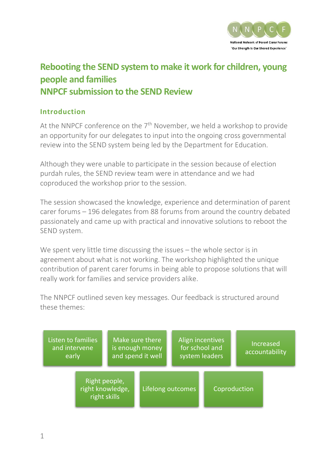

# **Rebooting the SEND system to make it work for children, young people and families NNPCF submission to the SEND Review**

### **Introduction**

At the NNPCF conference on the  $7<sup>th</sup>$  November, we held a workshop to provide an opportunity for our delegates to input into the ongoing cross governmental review into the SEND system being led by the Department for Education.

Although they were unable to participate in the session because of election purdah rules, the SEND review team were in attendance and we had coproduced the workshop prior to the session.

The session showcased the knowledge, experience and determination of parent carer forums – 196 delegates from 88 forums from around the country debated passionately and came up with practical and innovative solutions to reboot the SEND system.

We spent very little time discussing the issues – the whole sector is in agreement about what is not working. The workshop highlighted the unique contribution of parent carer forums in being able to propose solutions that will really work for families and service providers alike.

The NNPCF outlined seven key messages. Our feedback is structured around these themes:

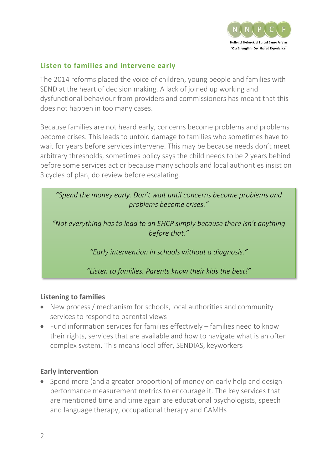

# **Listen to families and intervene early**

The 2014 reforms placed the voice of children, young people and families with SEND at the heart of decision making. A lack of joined up working and dysfunctional behaviour from providers and commissioners has meant that this does not happen in too many cases.

Because families are not heard early, concerns become problems and problems become crises. This leads to untold damage to families who sometimes have to wait for years before services intervene. This may be because needs don't meet arbitrary thresholds, sometimes policy says the child needs to be 2 years behind before some services act or because many schools and local authorities insist on 3 cycles of plan, do review before escalating.

*"Spend the money early. Don't wait until concerns become problems and problems become crises."*

*"Not everything has to lead to an EHCP simply because there isn't anything before that."*

*"Early intervention in schools without a diagnosis."*

*"Listen to families. Parents know their kids the best!"*

### **Listening to families**

- New process / mechanism for schools, local authorities and community services to respond to parental views
- Fund information services for families effectively families need to know their rights, services that are available and how to navigate what is an often complex system. This means local offer, SENDIAS, keyworkers

#### **Early intervention**

• Spend more (and a greater proportion) of money on early help and design performance measurement metrics to encourage it. The key services that are mentioned time and time again are educational psychologists, speech and language therapy, occupational therapy and CAMHs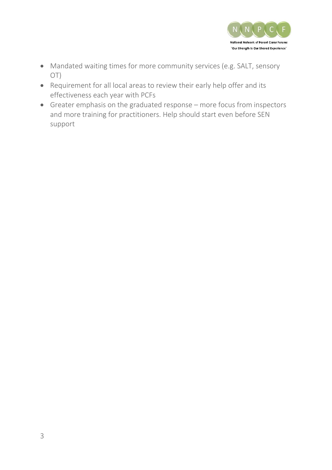

- Mandated waiting times for more community services (e.g. SALT, sensory OT)
- Requirement for all local areas to review their early help offer and its effectiveness each year with PCFs
- Greater emphasis on the graduated response more focus from inspectors and more training for practitioners. Help should start even before SEN support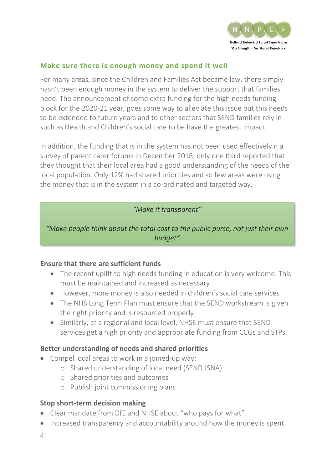

# **Make sure there is enough money and spend it well**

For many areas, since the Children and Families Act became law, there simply hasn't been enough money in the system to deliver the support that families need. The announcement of some extra funding for the high needs funding block for the 2020-21 year, goes some way to alleviate this issue but this needs to be extended to future years and to other sectors that SEND families rely in such as Health and Children's social care to be have the greatest impact.

In addition, the funding that is in the system has not been used effectively.n a survey of parent carer forums in December 2018, only one third reported that they thought that their local area had a good understanding of the needs of the local population. Only 12% had shared priorities and so few areas were using the money that is in the system in a co-ordinated and targeted way.

### *"Make it transparent"*

*"Make people think about the total cost to the public purse, not just their own budget"*

### **Ensure that there are sufficient funds**

- The recent uplift to high needs funding in education is very welcome. This must be maintained and increased as necessary
- However, more money is also needed in children's social care services
- The NHS Long Term Plan must ensure that the SEND workstream is given the right priority and is resourced properly
- Similarly, at a regional and local level, NHSE must ensure that SEND services get a high priority and appropriate funding from CCGs and STPs

### **Better understanding of needs and shared priorities**

- Compel local areas to work in a joined-up way:
	- o Shared understanding of local need (SEND JSNA)
	- o Shared priorities and outcomes
	- o Publish joint commissioning plans

#### **Stop short-term decision making**

- Clear mandate from DfE and NHSE about "who pays for what"
- Increased transparency and accountability around how the money is spent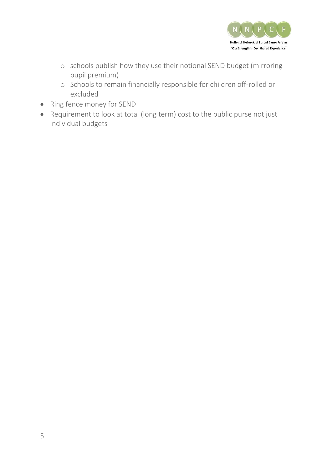

- o schools publish how they use their notional SEND budget (mirroring pupil premium)
- o Schools to remain financially responsible for children off-rolled or excluded
- Ring fence money for SEND
- Requirement to look at total (long term) cost to the public purse not just individual budgets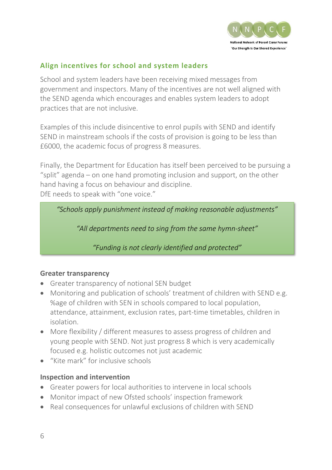

# **Align incentives for school and system leaders**

School and system leaders have been receiving mixed messages from government and inspectors. Many of the incentives are not well aligned with the SEND agenda which encourages and enables system leaders to adopt practices that are not inclusive.

Examples of this include disincentive to enrol pupils with SEND and identify SEND in mainstream schools if the costs of provision is going to be less than £6000, the academic focus of progress 8 measures.

Finally, the Department for Education has itself been perceived to be pursuing a "split" agenda – on one hand promoting inclusion and support, on the other hand having a focus on behaviour and discipline. DfE needs to speak with "one voice."

*"Schools apply punishment instead of making reasonable adjustments"*

*"All departments need to sing from the same hymn-sheet"*

*"Funding is not clearly identified and protected"*

### **Greater transparency**

- Greater transparency of notional SEN budget
- Monitoring and publication of schools' treatment of children with SEND e.g. %age of children with SEN in schools compared to local population, attendance, attainment, exclusion rates, part-time timetables, children in isolation.
- More flexibility / different measures to assess progress of children and young people with SEND. Not just progress 8 which is very academically focused e.g. holistic outcomes not just academic
- "Kite mark" for inclusive schools

# **Inspection and intervention**

- Greater powers for local authorities to intervene in local schools
- Monitor impact of new Ofsted schools' inspection framework
- Real consequences for unlawful exclusions of children with SEND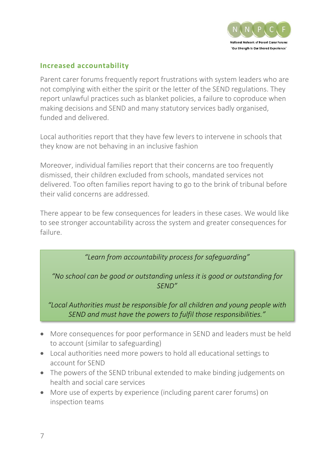

# **Increased accountability**

Parent carer forums frequently report frustrations with system leaders who are not complying with either the spirit or the letter of the SEND regulations. They report unlawful practices such as blanket policies, a failure to coproduce when making decisions and SEND and many statutory services badly organised, funded and delivered.

Local authorities report that they have few levers to intervene in schools that they know are not behaving in an inclusive fashion

Moreover, individual families report that their concerns are too frequently dismissed, their children excluded from schools, mandated services not delivered. Too often families report having to go to the brink of tribunal before their valid concerns are addressed.

There appear to be few consequences for leaders in these cases. We would like to see stronger accountability across the system and greater consequences for failure.

*"Learn from accountability process for safeguarding"*

*"No school can be good or outstanding unless it is good or outstanding for SEND"*

*"Local Authorities must be responsible for all children and young people with SEND and must have the powers to fulfil those responsibilities."*

- More consequences for poor performance in SEND and leaders must be held to account (similar to safeguarding)
- Local authorities need more powers to hold all educational settings to account for SEND
- The powers of the SEND tribunal extended to make binding judgements on health and social care services
- More use of experts by experience (including parent carer forums) on inspection teams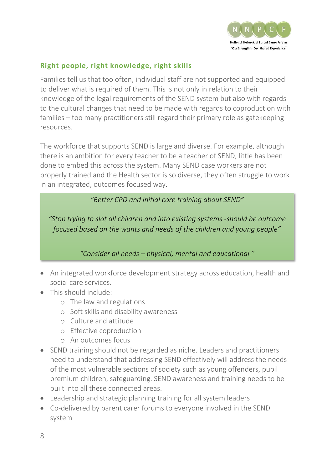

# **Right people, right knowledge, right skills**

Families tell us that too often, individual staff are not supported and equipped to deliver what is required of them. This is not only in relation to their knowledge of the legal requirements of the SEND system but also with regards to the cultural changes that need to be made with regards to coproduction with families – too many practitioners still regard their primary role as gatekeeping resources.

The workforce that supports SEND is large and diverse. For example, although there is an ambition for every teacher to be a teacher of SEND, little has been done to embed this across the system. Many SEND case workers are not properly trained and the Health sector is so diverse, they often struggle to work in an integrated, outcomes focused way.

*"Better CPD and initial core training about SEND"*

*"Stop trying to slot all children and into existing systems -should be outcome focused based on the wants and needs of the children and young people"*

*"Consider all needs – physical, mental and educational."*

- An integrated workforce development strategy across education, health and social care services.
- This should include:
	- o The law and regulations
	- o Soft skills and disability awareness
	- o Culture and attitude
	- o Effective coproduction
	- o An outcomes focus
- SEND training should not be regarded as niche. Leaders and practitioners need to understand that addressing SEND effectively will address the needs of the most vulnerable sections of society such as young offenders, pupil premium children, safeguarding. SEND awareness and training needs to be built into all these connected areas.
- Leadership and strategic planning training for all system leaders
- Co-delivered by parent carer forums to everyone involved in the SEND system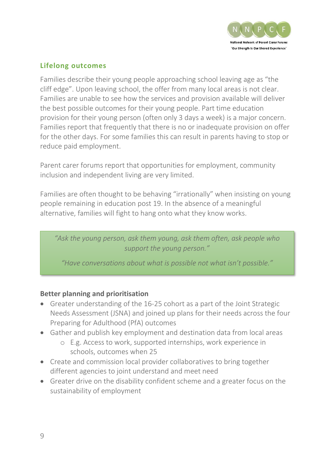

# **Lifelong outcomes**

Families describe their young people approaching school leaving age as "the cliff edge". Upon leaving school, the offer from many local areas is not clear. Families are unable to see how the services and provision available will deliver the best possible outcomes for their young people. Part time education provision for their young person (often only 3 days a week) is a major concern. Families report that frequently that there is no or inadequate provision on offer for the other days. For some families this can result in parents having to stop or reduce paid employment.

Parent carer forums report that opportunities for employment, community inclusion and independent living are very limited.

Families are often thought to be behaving "irrationally" when insisting on young people remaining in education post 19. In the absence of a meaningful alternative, families will fight to hang onto what they know works.

*"Ask the young person, ask them young, ask them often, ask people who support the young person."*

*"Have conversations about what is possible not what isn't possible."*

### **Better planning and prioritisation**

- Greater understanding of the 16-25 cohort as a part of the Joint Strategic Needs Assessment (JSNA) and joined up plans for their needs across the four Preparing for Adulthood (PfA) outcomes
- Gather and publish key employment and destination data from local areas
	- o E.g. Access to work, supported internships, work experience in schools, outcomes when 25
- Create and commission local provider collaboratives to bring together different agencies to joint understand and meet need
- Greater drive on the disability confident scheme and a greater focus on the sustainability of employment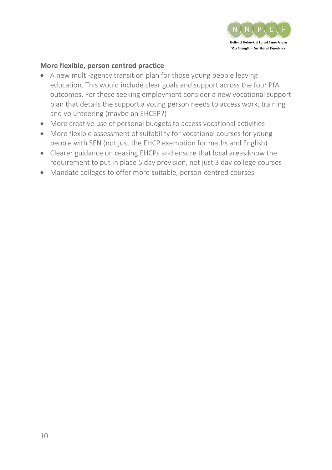

# **More flexible, person centred practice**

- A new multi-agency transition plan for those young people leaving education. This would include clear goals and support across the four PfA outcomes. For those seeking employment consider a new vocational support plan that details the support a young person needs to access work, training and volunteering (maybe an EHCEP?)
- More creative use of personal budgets to access vocational activities
- More flexible assessment of suitability for vocational courses for young people with SEN (not just the EHCP exemption for maths and English)
- Clearer guidance on ceasing EHCPs and ensure that local areas know the requirement to put in place 5 day provision, not just 3 day college courses
- Mandate colleges to offer more suitable, person-centred courses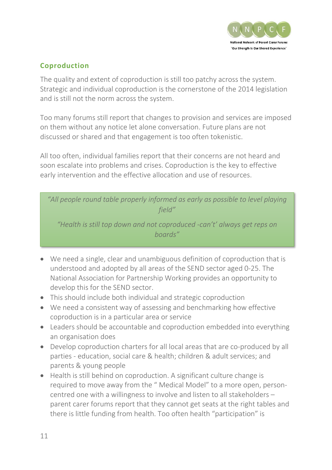

# **Coproduction**

The quality and extent of coproduction is still too patchy across the system. Strategic and individual coproduction is the cornerstone of the 2014 legislation and is still not the norm across the system.

Too many forums still report that changes to provision and services are imposed on them without any notice let alone conversation. Future plans are not discussed or shared and that engagement is too often tokenistic.

All too often, individual families report that their concerns are not heard and soon escalate into problems and crises. Coproduction is the key to effective early intervention and the effective allocation and use of resources.

*"All people round table properly informed as early as possible to level playing field"*

*"Health is still top down and not coproduced -can't' always get reps on boards"*

- We need a single, clear and unambiguous definition of coproduction that is understood and adopted by all areas of the SEND sector aged 0-25. The National Association for Partnership Working provides an opportunity to develop this for the SEND sector.
- This should include both individual and strategic coproduction
- We need a consistent way of assessing and benchmarking how effective coproduction is in a particular area or service
- Leaders should be accountable and coproduction embedded into everything an organisation does
- Develop coproduction charters for all local areas that are co-produced by all parties - education, social care & health; children & adult services; and parents & young people
- Health is still behind on coproduction. A significant culture change is required to move away from the " Medical Model" to a more open, personcentred one with a willingness to involve and listen to all stakeholders – parent carer forums report that they cannot get seats at the right tables and there is little funding from health. Too often health "participation" is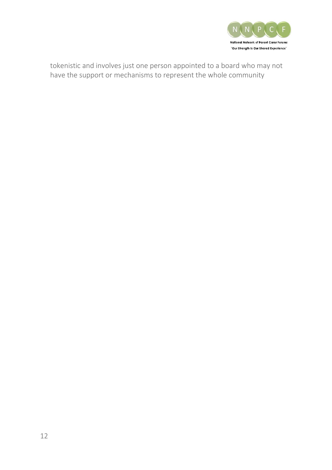

tokenistic and involves just one person appointed to a board who may not have the support or mechanisms to represent the whole community